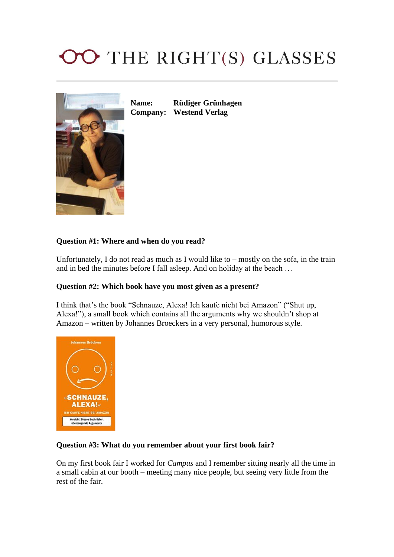# OO THE RIGHT(S) GLASSES



**Name: Rüdiger Grünhagen Company: Westend Verlag**

### **Question #1: Where and when do you read?**

Unfortunately, I do not read as much as I would like to – mostly on the sofa, in the train and in bed the minutes before I fall asleep. And on holiday at the beach …

#### **Question #2: Which book have you most given as a present?**

I think that's the book "Schnauze, Alexa! Ich kaufe nicht bei Amazon" ("Shut up, Alexa!"), a small book which contains all the arguments why we shouldn't shop at Amazon – written by Johannes Broeckers in a very personal, humorous style.



#### **Question #3: What do you remember about your first book fair?**

On my first book fair I worked for *Campus* and I remember sitting nearly all the time in a small cabin at our booth – meeting many nice people, but seeing very little from the rest of the fair.